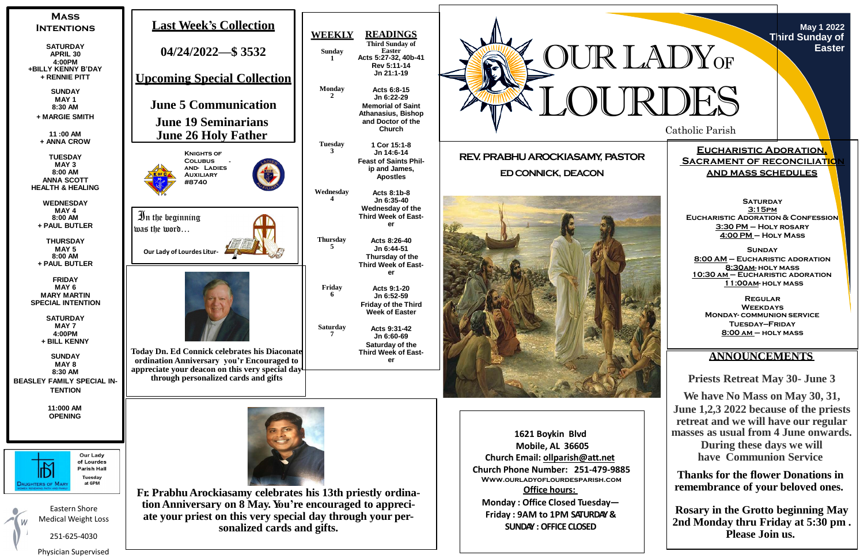Catholic Parish



**May 1 2022 Third Sunday of Easter**

**Eucharistic Adoration, SACRAMENT OF RECONCILIATION and mass schedules**

**SATURDAY 3:15pm Eucharistic Adoration & Confession 3:30 PM – Holy rosary 4:00 PM – Holy Mass**

**Sunday 8:00 AM – Eucharistic adoration 8:30am- holy mass 10:30 am – Eucharistic adoration 11:00am- holy mass**

**Regular Weekdays Monday- communion service Tuesday—Friday 8:00 am – holy mass**



# **ANNOUNCEMENTS**

**Priests Retreat May 30- June 3**

**We have No Mass on May 30, 31, June 1,2,3 2022 because of the priests retreat and we will have our regular masses as usual from 4 June onwards. During these days we will have Communion Service**

**Thanks for the flower Donations in remembrance of your beloved ones.**

**Rosary in the Grotto beginning May 2nd Monday thru Friday at 5:30 pm . Please Join us.**

Physician Supervised